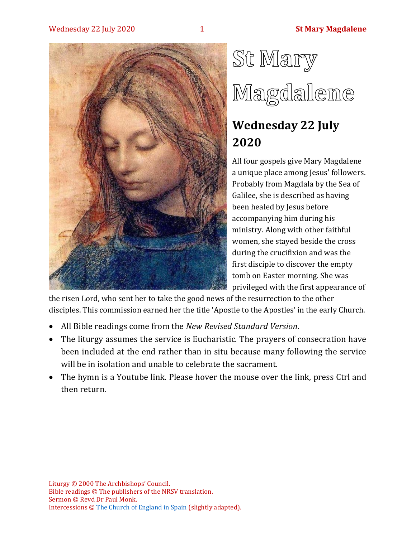#### Wednesday 22 July 2020 **1 St Mary Magdalene**



# St Mary Magdalene

## **Wednesday 22 July 2020**

All four gospels give Mary Magdalene a unique place among Jesus' followers. Probably from Magdala by the Sea of Galilee, she is described as having been healed by Jesus before accompanying him during his ministry. Along with other faithful women, she stayed beside the cross during the crucifixion and was the first disciple to discover the empty tomb on Easter morning. She was privileged with the first appearance of

the risen Lord, who sent her to take the good news of the resurrection to the other disciples. This commission earned her the title 'Apostle to the Apostles' in the early Church.

- All Bible readings come from the *New Revised Standard Version*.
- The liturgy assumes the service is Eucharistic. The prayers of consecration have been included at the end rather than in situ because many following the service will be in isolation and unable to celebrate the sacrament.
- The hymn is a Youtube link. Please hover the mouse over the link, press Ctrl and then return.

Liturgy © 2000 The Archbishops' Council. Bible readings © The publishers of the NRSV translation. Sermon © Revd Dr Paul Monk. Intercessions © [The Church of England in Spain](http://webcache.googleusercontent.com/search?q=cache:B4Vq8xlW2cwJ:costablanca-anglicanchaplaincy.org/prayers-and-intercessions/intercession-archive-year-b/+&cd=1&hl=en&ct=clnk&gl=uk&client=firefox-b-d) (slightly adapted).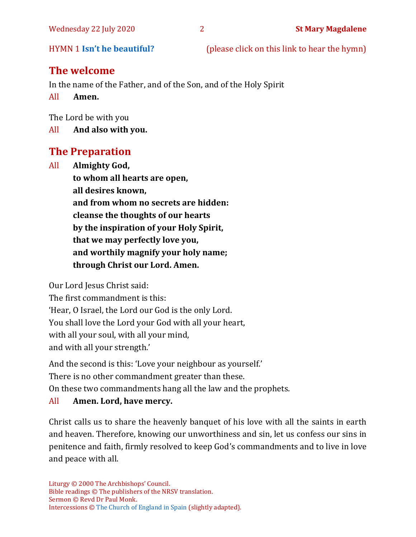HYMN 1 **[Isn't he beautiful?](https://www.youtube.com/watch?v=Hn4Kz1tGVM4)** (please click on this link to hear the hymn)

#### **The welcome**

In the name of the Father, and of the Son, and of the Holy Spirit

All **Amen.**

The Lord be with you

All **And also with you.**

#### **The Preparation**

All **Almighty God, to whom all hearts are open, all desires known, and from whom no secrets are hidden: cleanse the thoughts of our hearts by the inspiration of your Holy Spirit, that we may perfectly love you, and worthily magnify your holy name; through Christ our Lord. Amen.**

Our Lord Jesus Christ said:

The first commandment is this: 'Hear, O Israel, the Lord our God is the only Lord. You shall love the Lord your God with all your heart, with all your soul, with all your mind, and with all your strength.'

And the second is this: 'Love your neighbour as yourself.'

There is no other commandment greater than these.

On these two commandments hang all the law and the prophets.

#### All **Amen. Lord, have mercy.**

Christ calls us to share the heavenly banquet of his love with all the saints in earth and heaven. Therefore, knowing our unworthiness and sin, let us confess our sins in penitence and faith, firmly resolved to keep God's commandments and to live in love and peace with all.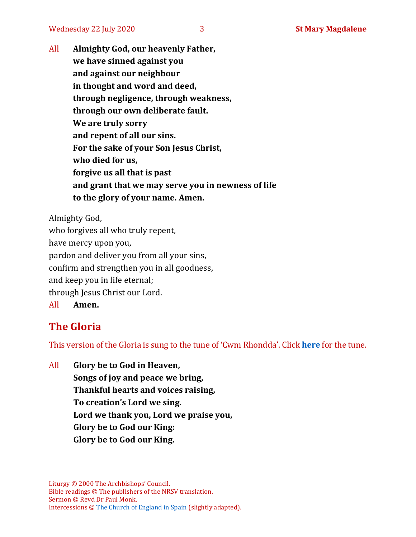All **Almighty God, our heavenly Father, we have sinned against you and against our neighbour in thought and word and deed, through negligence, through weakness, through our own deliberate fault. We are truly sorry and repent of all our sins. For the sake of your Son Jesus Christ, who died for us, forgive us all that is past and grant that we may serve you in newness of life to the glory of your name. Amen.**

Almighty God, who forgives all who truly repent, have mercy upon you, pardon and deliver you from all your sins, confirm and strengthen you in all goodness, and keep you in life eternal; through Jesus Christ our Lord. All **Amen.**

#### **The Gloria**

This version of the Gloria is sung to the tune of 'Cwm Rhondda'. Click **[here](https://www.youtube.com/watch?v=BtGhnEwY74E)** for the tune.

All **Glory be to God in Heaven, Songs of joy and peace we bring, Thankful hearts and voices raising, To creation's Lord we sing. Lord we thank you, Lord we praise you, Glory be to God our King: Glory be to God our King.**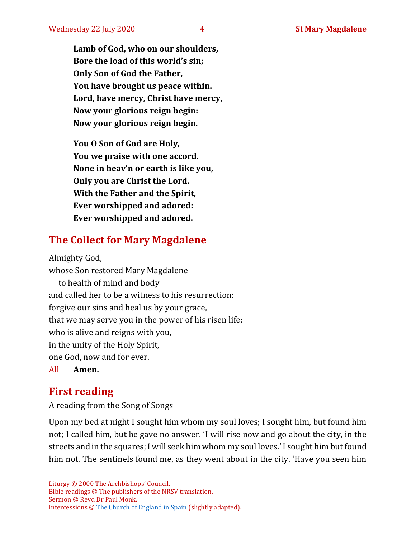**Lamb of God, who on our shoulders, Bore the load of this world's sin; Only Son of God the Father, You have brought us peace within. Lord, have mercy, Christ have mercy, Now your glorious reign begin: Now your glorious reign begin.**

**You O Son of God are Holy, You we praise with one accord. None in heav'n or earth is like you, Only you are Christ the Lord. With the Father and the Spirit, Ever worshipped and adored: Ever worshipped and adored.**

### **The Collect for Mary Magdalene**

Almighty God, whose Son restored Mary Magdalene to health of mind and body and called her to be a witness to his resurrection: forgive our sins and heal us by your grace, that we may serve you in the power of his risen life; who is alive and reigns with you, in the unity of the Holy Spirit, one God, now and for ever.

All **Amen.**

#### **First reading**

A reading from the Song of Songs

Upon my bed at night I sought him whom my soul loves; I sought him, but found him not; I called him, but he gave no answer. 'I will rise now and go about the city, in the streets and in the squares; I will seek him whom my soul loves.' I sought him but found him not. The sentinels found me, as they went about in the city. 'Have you seen him

Liturgy © 2000 The Archbishops' Council. Bible readings © The publishers of the NRSV translation. Sermon © Revd Dr Paul Monk. Intercessions © [The Church of England in Spain](http://webcache.googleusercontent.com/search?q=cache:B4Vq8xlW2cwJ:costablanca-anglicanchaplaincy.org/prayers-and-intercessions/intercession-archive-year-b/+&cd=1&hl=en&ct=clnk&gl=uk&client=firefox-b-d) (slightly adapted).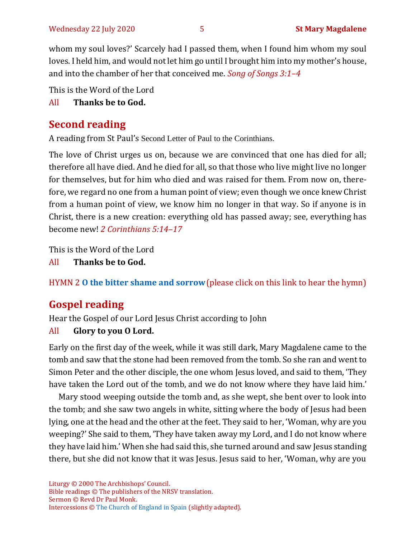whom my soul loves?' Scarcely had I passed them, when I found him whom my soul loves. I held him, and would not let him go until I brought him into my mother's house, and into the chamber of her that conceived me. *Song of Songs 3:1–4*

This is the Word of the Lord

All **Thanks be to God.**

#### **Second reading**

A reading from St Paul's Second Letter of Paul to the Corinthians.

The love of Christ urges us on, because we are convinced that one has died for all; therefore all have died. And he died for all, so that those who live might live no longer for themselves, but for him who died and was raised for them. From now on, therefore, we regard no one from a human point of view; even though we once knew Christ from a human point of view, we know him no longer in that way. So if anyone is in Christ, there is a new creation: everything old has passed away; see, everything has become new! *2 Corinthians 5:14–17*

This is the Word of the Lord

All **Thanks be to God.**

HYMN 2 **[O the bitter shame and sorrow](https://www.youtube.com/watch?v=IPkEFV95cA4)**(please click on this link to hear the hymn)

#### **Gospel reading**

Hear the Gospel of our Lord Jesus Christ according to John

#### All **Glory to you O Lord.**

Early on the first day of the week, while it was still dark, Mary Magdalene came to the tomb and saw that the stone had been removed from the tomb. So she ran and went to Simon Peter and the other disciple, the one whom Jesus loved, and said to them, 'They have taken the Lord out of the tomb, and we do not know where they have laid him.'

Mary stood weeping outside the tomb and, as she wept, she bent over to look into the tomb; and she saw two angels in white, sitting where the body of Jesus had been lying, one at the head and the other at the feet. They said to her, 'Woman, why are you weeping?' She said to them, 'They have taken away my Lord, and I do not know where they have laid him.' When she had said this, she turned around and saw Jesus standing there, but she did not know that it was Jesus. Jesus said to her, 'Woman, why are you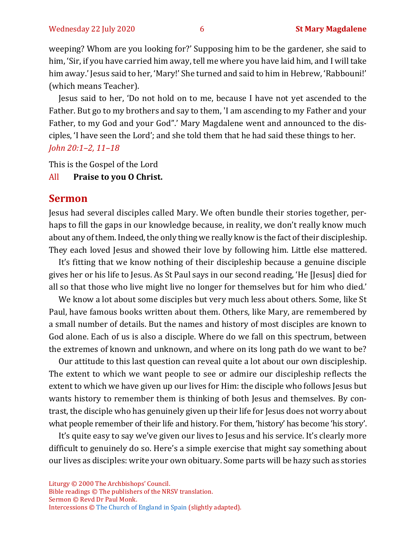weeping? Whom are you looking for?' Supposing him to be the gardener, she said to him, 'Sir, if you have carried him away, tell me where you have laid him, and I will take him away.' Jesus said to her, 'Mary!' She turned and said to him in Hebrew, 'Rabbouni!' (which means Teacher).

Jesus said to her, 'Do not hold on to me, because I have not yet ascended to the Father. But go to my brothers and say to them, 'I am ascending to my Father and your Father, to my God and your God".' Mary Magdalene went and announced to the disciples, 'I have seen the Lord'; and she told them that he had said these things to her. *John 20:1–2, 11–18*

This is the Gospel of the Lord

#### All **Praise to you O Christ.**

#### **Sermon**

Jesus had several disciples called Mary. We often bundle their stories together, perhaps to fill the gaps in our knowledge because, in reality, we don't really know much about any of them. Indeed, the only thing we really know is the fact of their discipleship. They each loved Jesus and showed their love by following him. Little else mattered.

It's fitting that we know nothing of their discipleship because a genuine disciple gives her or his life to Jesus. As St Paul says in our second reading, 'He [Jesus] died for all so that those who live might live no longer for themselves but for him who died.'

We know a lot about some disciples but very much less about others. Some, like St Paul, have famous books written about them. Others, like Mary, are remembered by a small number of details. But the names and history of most disciples are known to God alone. Each of us is also a disciple. Where do we fall on this spectrum, between the extremes of known and unknown, and where on its long path do we want to be?

Our attitude to this last question can reveal quite a lot about our own discipleship. The extent to which we want people to see or admire our discipleship reflects the extent to which we have given up our lives for Him: the disciple who follows Jesus but wants history to remember them is thinking of both Jesus and themselves. By contrast, the disciple who has genuinely given up their life for Jesus does not worry about what people remember of their life and history. For them, 'history' has become 'his story'.

It's quite easy to say we've given our lives to Jesus and his service. It's clearly more difficult to genuinely do so. Here's a simple exercise that might say something about our lives as disciples: write your own obituary. Some parts will be hazy such as stories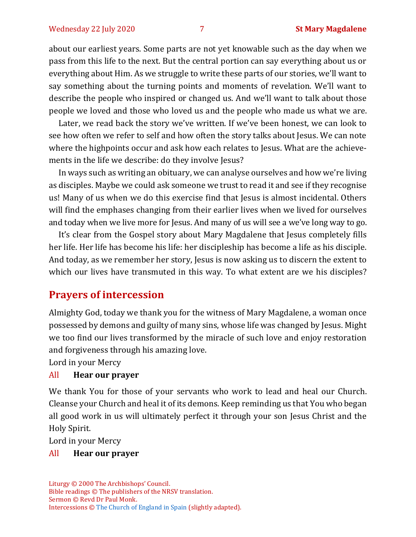about our earliest years. Some parts are not yet knowable such as the day when we pass from this life to the next. But the central portion can say everything about us or everything about Him. As we struggle to write these parts of our stories, we'll want to say something about the turning points and moments of revelation. We'll want to describe the people who inspired or changed us. And we'll want to talk about those people we loved and those who loved us and the people who made us what we are.

Later, we read back the story we've written. If we've been honest, we can look to see how often we refer to self and how often the story talks about Jesus. We can note where the highpoints occur and ask how each relates to Jesus. What are the achievements in the life we describe: do they involve Jesus?

In ways such as writing an obituary, we can analyse ourselves and how we're living as disciples. Maybe we could ask someone we trust to read it and see if they recognise us! Many of us when we do this exercise find that Jesus is almost incidental. Others will find the emphases changing from their earlier lives when we lived for ourselves and today when we live more for Jesus. And many of us will see a we've long way to go.

It's clear from the Gospel story about Mary Magdalene that Jesus completely fills her life. Her life has become his life: her discipleship has become a life as his disciple. And today, as we remember her story, Jesus is now asking us to discern the extent to which our lives have transmuted in this way. To what extent are we his disciples?

#### **Prayers of intercession**

Almighty God, today we thank you for the witness of Mary Magdalene, a woman once possessed by demons and guilty of many sins, whose life was changed by Jesus. Might we too find our lives transformed by the miracle of such love and enjoy restoration and forgiveness through his amazing love.

Lord in your Mercy

#### All **Hear our prayer**

We thank You for those of your servants who work to lead and heal our Church. Cleanse your Church and heal it of its demons. Keep reminding us that You who began all good work in us will ultimately perfect it through your son Jesus Christ and the Holy Spirit.

Lord in your Mercy

#### All **Hear our prayer**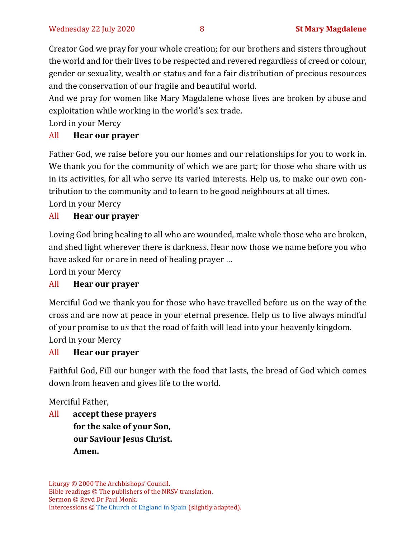Creator God we pray for your whole creation; for our brothers and sisters throughout the world and for their lives to be respected and revered regardless of creed or colour, gender or sexuality, wealth or status and for a fair distribution of precious resources and the conservation of our fragile and beautiful world.

And we pray for women like Mary Magdalene whose lives are broken by abuse and exploitation while working in the world's sex trade*.*

Lord in your Mercy

#### All **Hear our prayer**

Father God, we raise before you our homes and our relationships for you to work in. We thank you for the community of which we are part; for those who share with us in its activities, for all who serve its varied interests. Help us, to make our own contribution to the community and to learn to be good neighbours at all times. Lord in your Mercy

#### All **Hear our prayer**

Loving God bring healing to all who are wounded, make whole those who are broken, and shed light wherever there is darkness. Hear now those we name before you who have asked for or are in need of healing prayer …

Lord in your Mercy

#### All **Hear our prayer**

Merciful God we thank you for those who have travelled before us on the way of the cross and are now at peace in your eternal presence. Help us to live always mindful of your promise to us that the road of faith will lead into your heavenly kingdom. Lord in your Mercy

#### All **Hear our prayer**

Faithful God, Fill our hunger with the food that lasts, the bread of God which comes down from heaven and gives life to the world.

Merciful Father,

All **accept these prayers for the sake of your Son, our Saviour Jesus Christ. Amen.**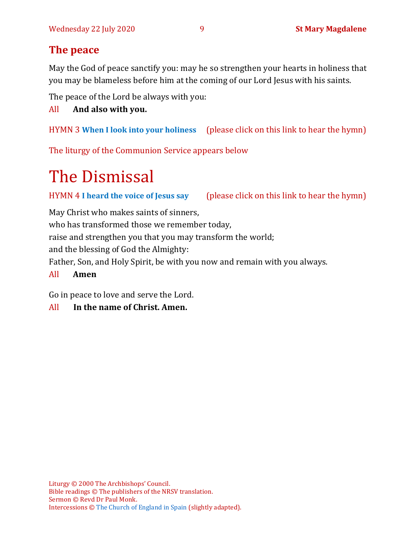#### **The peace**

May the God of peace sanctify you: may he so strengthen your hearts in holiness that you may be blameless before him at the coming of our Lord Jesus with his saints.

The peace of the Lord be always with you:

#### All **And also with you.**

HYMN 3 **[When I look into your holiness](https://www.youtube.com/watch?v=_ZT2p_Sxj0U)** (please click on this link to hear the hymn)

The liturgy of the Communion Service appears below

## The Dismissal

HYMN 4 **[I heard the voice of Jesus say](https://www.youtube.com/watch?v=XUVCpF8-VuE)** (please click on this link to hear the hymn)

May Christ who makes saints of sinners,

who has transformed those we remember today,

raise and strengthen you that you may transform the world;

and the blessing of God the Almighty:

Father, Son, and Holy Spirit, be with you now and remain with you always.

#### All **Amen**

Go in peace to love and serve the Lord.

#### All **In the name of Christ. Amen.**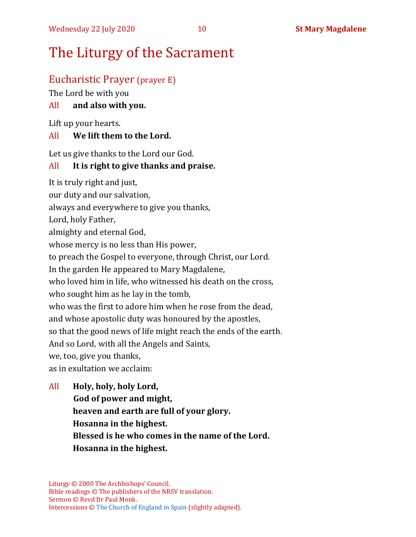## The Liturgy of the Sacrament

#### Eucharistic Prayer (prayer E)

The Lord be with you

#### All **and also with you.**

Lift up your hearts.

#### All **We lift them to the Lord.**

Let us give thanks to the Lord our God.

#### All **It is right to give thanks and praise.**

It is truly right and just, our duty and our salvation,

always and everywhere to give you thanks,

Lord, holy Father,

almighty and eternal God,

whose mercy is no less than His power,

to preach the Gospel to everyone, through Christ, our Lord.

In the garden He appeared to Mary Magdalene,

who loved him in life, who witnessed his death on the cross,

who sought him as he lay in the tomb,

who was the first to adore him when he rose from the dead,

and whose apostolic duty was honoured by the apostles,

so that the good news of life might reach the ends of the earth.

And so Lord, with all the Angels and Saints,

we, too, give you thanks,

as in exultation we acclaim:

All **Holy, holy, holy Lord, God of power and might, heaven and earth are full of your glory. Hosanna in the highest. Blessed is he who comes in the name of the Lord. Hosanna in the highest.**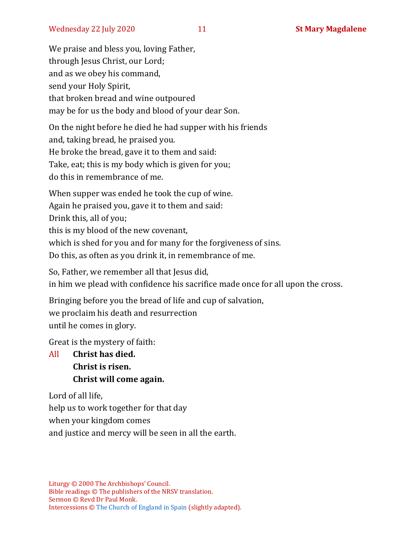We praise and bless you, loving Father, through Jesus Christ, our Lord; and as we obey his command, send your Holy Spirit, that broken bread and wine outpoured may be for us the body and blood of your dear Son.

On the night before he died he had supper with his friends and, taking bread, he praised you. He broke the bread, gave it to them and said: Take, eat; this is my body which is given for you; do this in remembrance of me.

When supper was ended he took the cup of wine.

Again he praised you, gave it to them and said:

Drink this, all of you;

this is my blood of the new covenant,

which is shed for you and for many for the forgiveness of sins.

Do this, as often as you drink it, in remembrance of me.

So, Father, we remember all that Jesus did,

in him we plead with confidence his sacrifice made once for all upon the cross.

Bringing before you the bread of life and cup of salvation, we proclaim his death and resurrection until he comes in glory.

Great is the mystery of faith:

All **Christ has died. Christ is risen. Christ will come again.**

Lord of all life, help us to work together for that day when your kingdom comes and justice and mercy will be seen in all the earth.

Liturgy © 2000 The Archbishops' Council. Bible readings © The publishers of the NRSV translation. Sermon © Revd Dr Paul Monk. Intercessions © [The Church of England in Spain](http://webcache.googleusercontent.com/search?q=cache:B4Vq8xlW2cwJ:costablanca-anglicanchaplaincy.org/prayers-and-intercessions/intercession-archive-year-b/+&cd=1&hl=en&ct=clnk&gl=uk&client=firefox-b-d) (slightly adapted).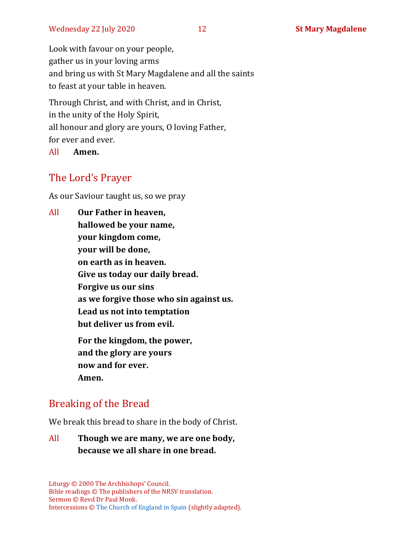Look with favour on your people, gather us in your loving arms and bring us with St Mary Magdalene and all the saints to feast at your table in heaven.

Through Christ, and with Christ, and in Christ, in the unity of the Holy Spirit, all honour and glory are yours, O loving Father, for ever and ever.

All **Amen.**

#### The Lord's Prayer

As our Saviour taught us, so we pray

All **Our Father in heaven, hallowed be your name, your kingdom come, your will be done, on earth as in heaven. Give us today our daily bread. Forgive us our sins as we forgive those who sin against us. Lead us not into temptation but deliver us from evil. For the kingdom, the power, and the glory are yours now and for ever. Amen.**

#### Breaking of the Bread

We break this bread to share in the body of Christ.

All **Though we are many, we are one body, because we all share in one bread.**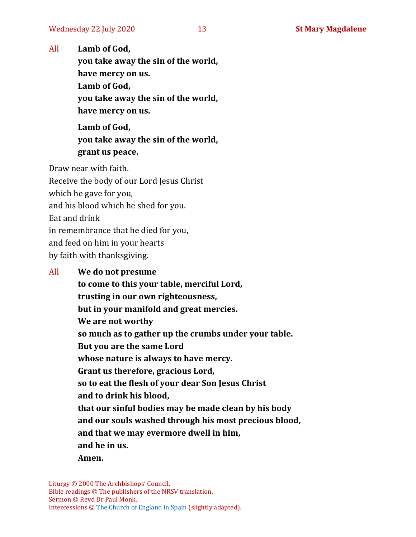All **Lamb of God,**

**you take away the sin of the world, have mercy on us. Lamb of God, you take away the sin of the world, have mercy on us.**

**Lamb of God, you take away the sin of the world, grant us peace.**

Draw near with faith.

Receive the body of our Lord Jesus Christ which he gave for you, and his blood which he shed for you. Eat and drink in remembrance that he died for you, and feed on him in your hearts by faith with thanksgiving.

#### All **We do not presume**

**to come to this your table, merciful Lord, trusting in our own righteousness, but in your manifold and great mercies. We are not worthy so much as to gather up the crumbs under your table. But you are the same Lord whose nature is always to have mercy. Grant us therefore, gracious Lord, so to eat the flesh of your dear Son Jesus Christ and to drink his blood, that our sinful bodies may be made clean by his body and our souls washed through his most precious blood, and that we may evermore dwell in him, and he in us. Amen.**